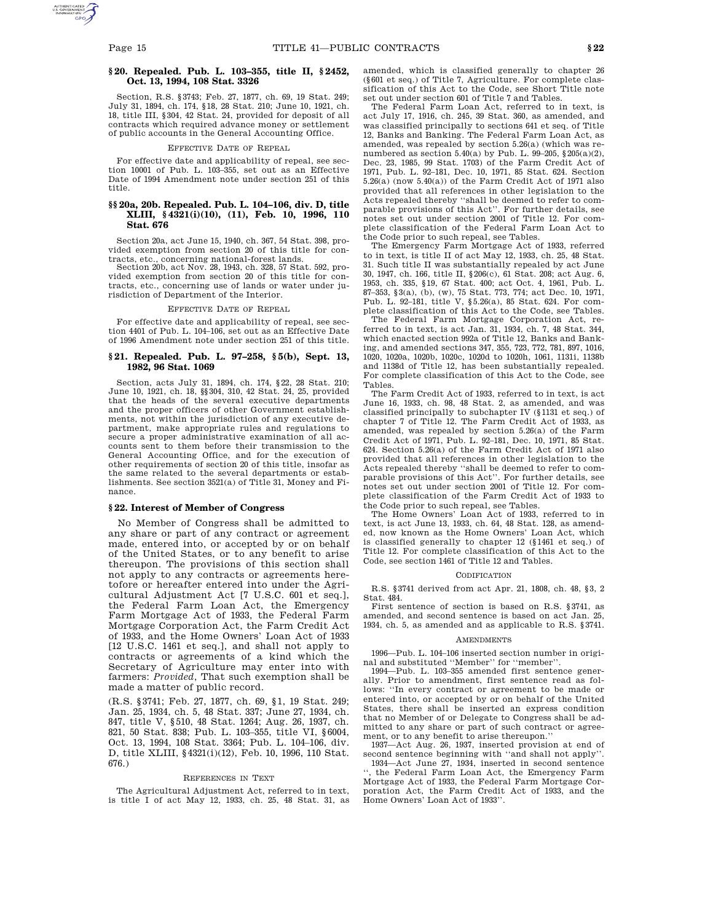# **§ 20. Repealed. Pub. L. 103–355, title II, § 2452, Oct. 13, 1994, 108 Stat. 3326**

Section, R.S. §3743; Feb. 27, 1877, ch. 69, 19 Stat. 249; July 31, 1894, ch. 174, §18, 28 Stat. 210; June 10, 1921, ch. 18, title III, §304, 42 Stat. 24, provided for deposit of all contracts which required advance money or settlement of public accounts in the General Accounting Office.

# EFFECTIVE DATE OF REPEAL

For effective date and applicability of repeal, see sec-tion 10001 of Pub. L. 103–355, set out as an Effective Date of 1994 Amendment note under section 251 of this title.

# **§§ 20a, 20b. Repealed. Pub. L. 104–106, div. D, title XLIII, § 4321(i)(10), (11), Feb. 10, 1996, 110 Stat. 676**

Section 20a, act June 15, 1940, ch. 367, 54 Stat. 398, provided exemption from section 20 of this title for contracts, etc., concerning national-forest lands.

Section 20b, act Nov. 28, 1943, ch. 328, 57 Stat. 592, provided exemption from section 20 of this title for contracts, etc., concerning use of lands or water under jurisdiction of Department of the Interior.

#### EFFECTIVE DATE OF REPEAL

For effective date and applicability of repeal, see section 4401 of Pub. L. 104–106, set out as an Effective Date of 1996 Amendment note under section 251 of this title.

# **§ 21. Repealed. Pub. L. 97–258, § 5(b), Sept. 13, 1982, 96 Stat. 1069**

Section, acts July 31, 1894, ch. 174, §22, 28 Stat. 210; June 10, 1921, ch. 18, §§304, 310, 42 Stat. 24, 25, provided that the heads of the several executive departments and the proper officers of other Government establishments, not within the jurisdiction of any executive department, make appropriate rules and regulations to secure a proper administrative examination of all accounts sent to them before their transmission to the General Accounting Office, and for the execution of other requirements of section 20 of this title, insofar as the same related to the several departments or establishments. See section 3521(a) of Title 31, Money and Finance.

### **§ 22. Interest of Member of Congress**

No Member of Congress shall be admitted to any share or part of any contract or agreement made, entered into, or accepted by or on behalf of the United States, or to any benefit to arise thereupon. The provisions of this section shall not apply to any contracts or agreements heretofore or hereafter entered into under the Agricultural Adjustment Act [7 U.S.C. 601 et seq.], the Federal Farm Loan Act, the Emergency Farm Mortgage Act of 1933, the Federal Farm Mortgage Corporation Act, the Farm Credit Act of 1933, and the Home Owners' Loan Act of 1933 [12 U.S.C. 1461 et seq.], and shall not apply to contracts or agreements of a kind which the Secretary of Agriculture may enter into with farmers: *Provided*, That such exemption shall be made a matter of public record.

(R.S. §3741; Feb. 27, 1877, ch. 69, §1, 19 Stat. 249; Jan. 25, 1934, ch. 5, 48 Stat. 337; June 27, 1934, ch. 847, title V, §510, 48 Stat. 1264; Aug. 26, 1937, ch. 821, 50 Stat. 838; Pub. L. 103–355, title VI, §6004, Oct. 13, 1994, 108 Stat. 3364; Pub. L. 104–106, div. D, title XLIII, §4321(i)(12), Feb. 10, 1996, 110 Stat. 676.)

### REFERENCES IN TEXT

The Agricultural Adjustment Act, referred to in text, is title I of act May 12, 1933, ch. 25, 48 Stat. 31, as amended, which is classified generally to chapter 26 (§601 et seq.) of Title 7, Agriculture. For complete classification of this Act to the Code, see Short Title note set out under section 601 of Title 7 and Tables.

The Federal Farm Loan Act, referred to in text, is act July 17, 1916, ch. 245, 39 Stat. 360, as amended, and was classified principally to sections 641 et seq. of Title 12, Banks and Banking. The Federal Farm Loan Act, as amended, was repealed by section 5.26(a) (which was renumbered as section 5.40(a) by Pub. L. 99–205, §205(a)(2), Dec. 23, 1985, 99 Stat. 1703) of the Farm Credit Act of 1971, Pub. L. 92–181, Dec. 10, 1971, 85 Stat. 624. Section 5.26(a) (now 5.40(a)) of the Farm Credit Act of 1971 also provided that all references in other legislation to the Acts repealed thereby ''shall be deemed to refer to comparable provisions of this Act''. For further details, see notes set out under section 2001 of Title 12. For complete classification of the Federal Farm Loan Act to the Code prior to such repeal, see Tables.

The Emergency Farm Mortgage Act of 1933, referred to in text, is title II of act May 12, 1933, ch. 25, 48 Stat. 31. Such title II was substantially repealed by act June 30, 1947, ch. 166, title II, §206(c), 61 Stat. 208; act Aug. 6, 1953, ch. 335, §19, 67 Stat. 400; act Oct. 4, 1961, Pub. L. 87–353, §3(a), (b), (w), 75 Stat. 773, 774; act Dec. 10, 1971, Pub. L. 92–181, title V, §5.26(a), 85 Stat. 624. For complete classification of this Act to the Code, see Tables.

The Federal Farm Mortgage Corporation Act, referred to in text, is act Jan. 31, 1934, ch. 7, 48 Stat. 344, which enacted section 992a of Title 12, Banks and Banking, and amended sections 347, 355, 723, 772, 781, 897, 1016, 1020, 1020a, 1020b, 1020c, 1020d to 1020h, 1061, 1131i, 1138b and 1138d of Title 12, has been substantially repealed. For complete classification of this Act to the Code, see Tables.

The Farm Credit Act of 1933, referred to in text, is act June 16, 1933, ch. 98, 48 Stat. 2, as amended, and was classified principally to subchapter IV (§1131 et seq.) of chapter 7 of Title 12. The Farm Credit Act of 1933, as amended, was repealed by section 5.26(a) of the Farm Credit Act of 1971, Pub. L. 92–181, Dec. 10, 1971, 85 Stat. 624. Section 5.26(a) of the Farm Credit Act of 1971 also provided that all references in other legislation to the Acts repealed thereby ''shall be deemed to refer to comparable provisions of this Act''. For further details, see notes set out under section 2001 of Title 12. For complete classification of the Farm Credit Act of 1933 to the Code prior to such repeal, see Tables.

The Home Owners' Loan Act of 1933, referred to in text, is act June 13, 1933, ch. 64, 48 Stat. 128, as amended, now known as the Home Owners' Loan Act, which is classified generally to chapter 12 (§1461 et seq.) of Title 12. For complete classification of this Act to the Code, see section 1461 of Title 12 and Tables.

## **CODIFICATION**

R.S. §3741 derived from act Apr. 21, 1808, ch. 48, §3, 2 Stat. 484.

First sentence of section is based on R.S. §3741, as amended, and second sentence is based on act Jan. 25, 1934, ch. 5, as amended and as applicable to R.S. §3741.

### **AMENDMENTS**

1996—Pub. L. 104–106 inserted section number in original and substituted ''Member'' for ''member''.

1994—Pub. L. 103–355 amended first sentence generally. Prior to amendment, first sentence read as follows: ''In every contract or agreement to be made or entered into, or accepted by or on behalf of the United States, there shall be inserted an express condition that no Member of or Delegate to Congress shall be admitted to any share or part of such contract or agreement, or to any benefit to arise thereupon.''

1937—Act Aug. 26, 1937, inserted provision at end of second sentence beginning with ''and shall not apply''. 1934—Act June 27, 1934, inserted in second sentence

'', the Federal Farm Loan Act, the Emergency Farm Mortgage Act of 1933, the Federal Farm Mortgage Corporation Act, the Farm Credit Act of 1933, and the Home Owners' Loan Act of 1933''.